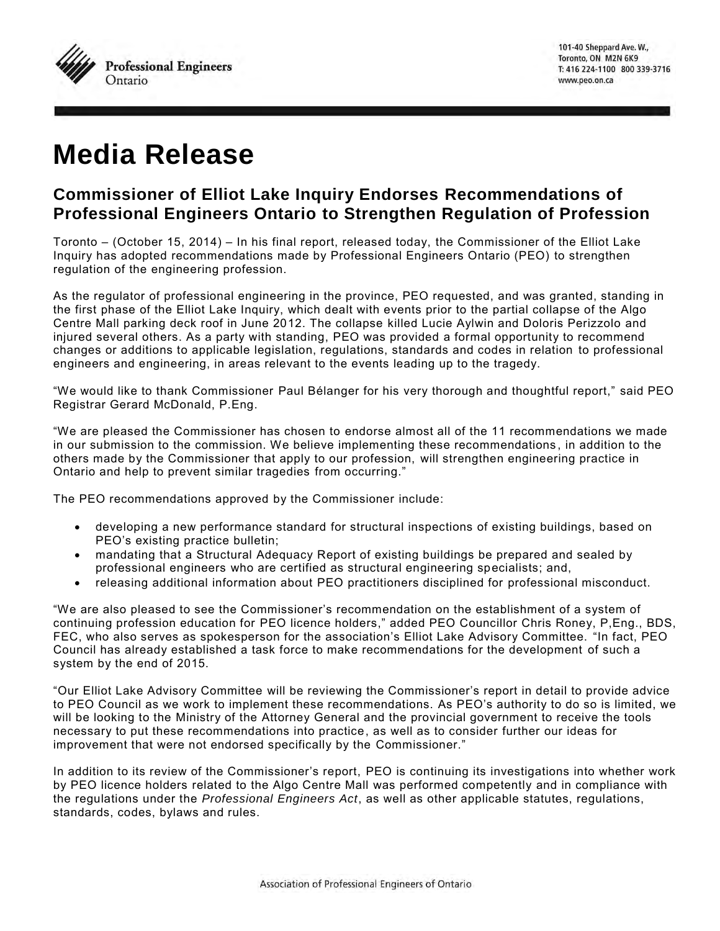

## **Media Release**

## **Commissioner of Elliot Lake Inquiry Endorses Recommendations of Professional Engineers Ontario to Strengthen Regulation of Profession**

Toronto – (October 15, 2014) – In his final report, released today, the Commissioner of the Elliot Lake Inquiry has adopted recommendations made by Professional Engineers Ontario (PEO) to strengthen regulation of the engineering profession.

As the regulator of professional engineering in the province, PEO requested, and was granted, standing in the first phase of the Elliot Lake Inquiry, which dealt with events prior to the partial collapse of the Algo Centre Mall parking deck roof in June 2012. The collapse killed Lucie Aylwin and Doloris Perizzolo and injured several others. As a party with standing, PEO was provided a formal opportunity to recommend changes or additions to applicable legislation, regulations, standards and codes in relation to professional engineers and engineering, in areas relevant to the events leading up to the tragedy.

"We would like to thank Commissioner Paul Bélanger for his very thorough and thoughtful report," said PEO Registrar Gerard McDonald, P.Eng.

"We are pleased the Commissioner has chosen to endorse almost all of the 11 recommendations we made in our submission to the commission. We believe implementing these recommendations , in addition to the others made by the Commissioner that apply to our profession, will strengthen engineering practice in Ontario and help to prevent similar tragedies from occurring."

The PEO recommendations approved by the Commissioner include:

- developing a new performance standard for structural inspections of existing buildings, based on PEO's existing practice bulletin;
- mandating that a Structural Adequacy Report of existing buildings be prepared and sealed by professional engineers who are certified as structural engineering specialists; and,
- releasing additional information about PEO practitioners disciplined for professional misconduct.

"We are also pleased to see the Commissioner's recommendation on the establishment of a system of continuing profession education for PEO licence holders," added PEO Councillor Chris Roney, P,Eng., BDS, FEC, who also serves as spokesperson for the association's Elliot Lake Advisory Committee. "In fact, PEO Council has already established a task force to make recommendations for the development of such a system by the end of 2015.

"Our Elliot Lake Advisory Committee will be reviewing the Commissioner's report in detail to provide advice to PEO Council as we work to implement these recommendations. As PEO's authority to do so is limited, we will be looking to the Ministry of the Attorney General and the provincial government to receive the tools necessary to put these recommendations into practice, as well as to consider further our ideas for improvement that were not endorsed specifically by the Commissioner."

In addition to its review of the Commissioner's report, PEO is continuing its investigations into whether work by PEO licence holders related to the Algo Centre Mall was performed competently and in compliance with the regulations under the *Professional Engineers Act*, as well as other applicable statutes, regulations, standards, codes, bylaws and rules.